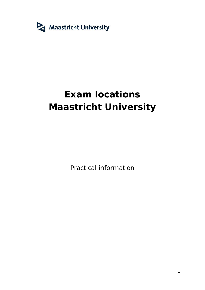

# **Exam locations Maastricht University**

Practical information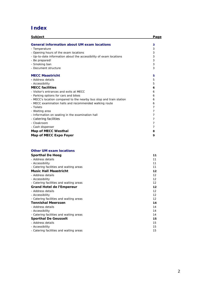## **Index**

| <b>Subject</b>                                                      | Page |
|---------------------------------------------------------------------|------|
|                                                                     |      |
| General information about UM exam locations                         | 3    |
| - Temperature                                                       | 3    |
| - Opening hours of the exam locations                               | 3    |
| - Up-to-date information about the accessibility of exam locations  | 3    |
| - Be prepared!                                                      | 3    |
| - Smoking ban                                                       | 3    |
| - Document structure                                                | 3    |
| <b>MECC Maastricht</b>                                              | 5    |
| - Address details                                                   | 5    |
| - Accessibility                                                     | 5    |
| <b>MECC</b> facilities                                              | 6    |
| - Visitor's entrances and exits at MECC                             | 6    |
| - Parking options for cars and bikes                                | 6    |
| - MECC's location compared to the nearby bus stop and train station | 6    |
| - MECC examination halls and recommended walking route              | 6    |
| - Toilets                                                           | 7    |
| - Waiting area                                                      | 7    |
| - Information on seating in the examination hall                    | 7    |
| - Catering facilities                                               | 7    |
| - Cloakroom                                                         | 7    |
| - Cash dispenser                                                    | 7    |
| Map of MECC Westhal                                                 | 8    |
| Map of MECC Expo Foyer                                              | 9    |

### **Other UM exam locations**

| Sporthal De Heeg                        | 11 |
|-----------------------------------------|----|
| - Address details                       | 11 |
| - Accessibility                         | 11 |
| - Catering facilities and waiting areas | 11 |
| Music Hall Maastricht                   | 12 |
| - Address details                       | 12 |
| - Accessibility                         | 12 |
| - Catering facilities and waiting areas | 12 |
| Grand Hotel de l'Empereur               | 12 |
| - Address details                       | 12 |
| - Accessibility                         | 12 |
| - Catering facilities and waiting areas | 12 |
| Tennishal Meerssen                      | 14 |
| - Address details                       | 14 |
| - Accessibility                         | 14 |
| - Catering facilities and waiting areas | 14 |
| Sporthal De Geusselt                    | 15 |
| - Address details                       | 15 |
| - Accessibility                         | 15 |
| - Catering facilities and waiting areas | 15 |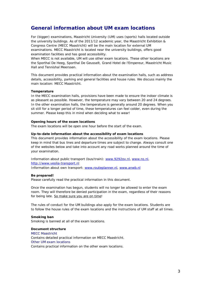### **General information about UM exam locations**

For (bigger) examinations, Maastricht University (UM) uses (sports) halls located outside the university buildings. As of the 2011/12 academic year, the Maastricht Exhibition & Congress Centre (MECC Maastricht) will be the main location for external UM examinations. MECC Maastricht is located near the university buildings, offers good examination facilities and has good accessibility.

When MECC is not available, UM will use other exam locations. These other locations are the Sporthal De Heeg, Sporthal De Geusselt, Grand Hotel de l'Empereur, Maastricht Music Hall and Tennishal Meerssen.

This document provides practical information about the examination halls, such as address details, accessibility, parking and general facilities and house rules. We discuss mainly the main location: MECC Maastricht.

### **Temperature**

In the MECC examination halls, provisions have been made to ensure the indoor climate is as pleasant as possible. However, the temperature may vary between 20 and 24 degrees. In the other examination halls, the temperature is generally around 20 degrees. When you sit still for a longer period of time, these temperatures can feel colder, even during the summer. Please keep this in mind when deciding what to wear!

**Opening hours of the exam locations** The exam locations will be open one hour before the start of the exam.

**Up-to-date information about the accessibility of exam locations** This document provides information about the accessibility of the exam locations. Please keep in mind that bus lines and departure times are subject to change. Always consult one of the websites below and take into account any road works planned around the time of your examination.

Information about public transport (bus/train): www.9292ov.nl, www.ns.nl, http://www.veolia-transport.nl

Information about own transport: www.routeplanner.nl, www.anwb.nl

**Be prepared!**

Please carefully read the practical information in this document.

Once the examination has begun, students will no longer be allowed to enter the exam room. They will therefore be denied participation in the exam, regardless of their reasons for being late. So make sure you are on time!

The rules of conduct for the UM buildings also apply for the exam locations. Students are to follow the house rules of the exam locations and the instructions of UM staff at all times.

**Smoking ban** Smoking is banned at all of the exam locations.

**Document structure** *MECC Maastricht* Contains detailed practical information on MECC Maastricht. *Other UM exam locations* Contains practical information on the other exam locations.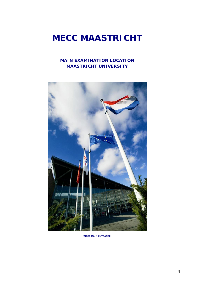## **MECC MAASTRICHT**

### **MAIN EXAMINATION LOCATION MAASTRICHT UNIVERSITY**



**(MECC MAIN ENTRANCE)**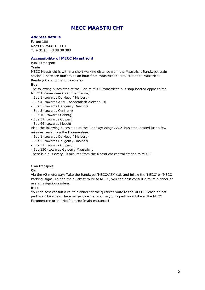## **MECC MAASTRICHT**

### **Address details**

Forum 100 6229 GV MAASTRICHT T: + 31 (0) 43 38 38 383

### **Accessibility of MECC Maastricht**

*Public transport*

**Train**

MECC Maastricht is within a short walking distance from the Maastricht Randwyck train station. There are four trains an hour from Maastricht central station to Maastricht Randwyck station, and vice versa.

**Bus**

The following buses stop at the 'Forum MECC Maastricht' bus stop located opposite the MECC *Forumentree* (Forum entrance):

- Bus 1 (towards De Heeg / Malberg)
- Bus 4 (towards AZM Academisch Ziekenhuis)
- Bus 5 (towards Heugem / Daalhof)
- Bus 8 (towards Centrum)
- Bus 10 (towards Caberg)
- Bus 57 (towards Gulpen)
- Bus 66 (towards Mesch)

Also, the following buses stop at the 'Randwycksingel/VGZ' bus stop located just a few minutes' walk from the Forumentree:

- Bus 1 (towards De Heeg / Malberg)
- Bus 5 (towards Heugem / Daalhof)
- Bus 57 (towards Gulpen)
- Bus 150 (towards Gulpen / Maastricht

There is a bus every 10 minutes from the Maastricht central station to MECC.

### *Own transport*

**Car**

Via the A2 motorway: Take the Randwyck/MECC/AZM exit and follow the 'MECC' or 'MECC Parking' signs. To find the quickest route to MECC, you can best consult a route planner or use a navigation system.

### **Bike**

You can best consult a route planner for the quickest route to the MECC. Please do not park your bike near the emergency exits; you may only park your bike at the MECC Forumentree or the *Hoofdentree* (main entrance)!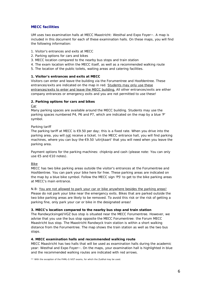### **MECC facilities**

UM uses two examination halls at MECC Maastricht: Westhal and Expo Foyer\*\*. A map is included in this document for each of these examination halls. On these maps, you will find the following information:

### 1. Visitor's entrances and exits at MECC

- 2. Parking options for cars and bikes
- 3. MECC location compared to the nearby bus stops and train station
- 4. The exam location within the MECC itself, as well as a recommended walking route
- 5. The location of the public toilets, waiting areas and catering facilities.

### **1. Visitor's entrances and exits at MECC**

Visitors can enter and leave the building via the Forumentree and Hoofdentree. These entrances/exits are indicated on the map in red. Students may only use these entrances/exits to enter and leave the MECC building. All other entrances/exits are either company entrances or emergency exits and you are not permitted to use these!

### **2. Parking options for cars and bikes**

### Car

Many parking spaces are available around the MECC building. Students may use the parking spaces numbered P4, P6 and P7, which are indicated on the map by a blue 'P' symbol.

### *Parking tariff*

The parking tariff at MECC is  $\bigoplus$ . 50 per day; this is a fixed rate. When you drive into the parking area, you will not receive a ticket. In the MECC entrance hall, you will find parking machines, where you can buy the €9.50 'uitrijkaart' that you will need when you leave the parking area.

Payment options for the parking machines: chipknip and cash (please note: You can only use €5 and €10 notes).

### Bike

MECC has two bike parking areas outside the visitor's entrances at the Forumentree and Hoofdentree. You can park your bike here for free. These parking areas are indicated on the map by a blue bike symbol. Follow the MECC sign 'P5' to get to the bike parking areas at MECC's main entrance.

N.B: You are not allowed to park your car or bike anywhere besides the parking areas! Please do not park your bike near the emergency exits. Bikes that are parked outside the two bike parking areas are likely to be removed. To avoid this risk or the risk of getting a parking fine, only park your car or bike in the designated areas!

**3. MECC's location compared to the nearby bus stop and train station** The Randwycksingel/VGZ bus stop is situated near the MECC Forumentree. However, we advise that you use the bus stop opposite the MECC Forumentree: the Forum MECC Maastricht bus stop. The Maastricht Randwyck train station is within a short walking distance from the Forumentree. The map shows the train station as well as the two bus stops.

### **4. MECC examination halls and recommended walking route**

MECC Maastricht has two halls that will be used as examination halls during the academic year: Westhal and Expo Foyer\*\*. On the maps, your examination hall is highlighted in blue and the recommended walking routes are indicated with red arrows.

\*\* With the exception of the FHML-G iVGT exams, for which the Zuidhal may be used.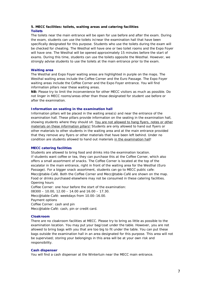### **5. MECC facilities: toilets, waiting areas and catering facilities Toilets**

The toilets near the main entrance will be open for use before and after the exam. During the exam, students can use the toilets in/near the examination hall that have been specifically designated for this purpose. Students who use the toilets during the exam will be checked for cheating. The Westhal will have one or two toilet rooms and the Expo Foyer will have one. The Westhal will be opened approximately 15 minutes before the start of exams. During this time, students can use the toilets opposite the Westhal. However, we strongly advise students to use the toilets at the main entrance prior to the exam.

### **Waiting area**

The Westhal and Expo Foyer waiting areas are highlighted in purple on the maps. The Westhal waiting areas include the Coffee Corner and the Euro Passage. The Expo Foyer waiting areas include the Coffee Corner and the Expo Foyer entrance. You will find information pillars near these waiting areas.

**NB:** Please try to limit the inconvenience for other MECC visitors as much as possible. Do not linger in MECC rooms/areas other than those designated for student use before or after the examination.

### **Information on seating in the examination hall**

Information pillars will be placed in the waiting area(s) and near the entrance of the examination hall. These pillars provide information on the seating in the examination hall, showing students where they should sit. You are not allowed to hang flyers, notes or other materials on these information pillars! Students are only allowed to hand out flyers or other materials to other students in the waiting area and at the main entrance *provided* that they remove any flyers or other materials that have been left behind. Under no condition are students allowed to hand out materials in the examination hall!

### **MECC catering facilities**

Students are allowed to bring food and drinks into the examination location. If students want coffee or tea, they can purchase this at the Coffee Corner, which also offers a small assortment of snacks. The Coffee Corner is located at the top of the escalator in the main entrance, right in front of the waiting area for the Westhal (Euro Passage). For a bigger snack assortment, students can go to MECC public cafe: Mecc@table-Café. Both the Coffee Corner and Mecc@table-Café are shown on the map. Food or drinks purchased elsewhere may not be consumed in these catering facilities. *Opening hours* Coffee Corner: one hour before the start of the examination: 08300 – 10.00, 12.00 – 14.00 and 16.00 – 17.30. Mecc@table-Café: weekdays from 10.00–16.00.

*Payment options*

Coffee Corner: cash and pin

Mecc@table-Café: cash, pin or credit card.

### **Cloakroom**

There are no cloakroom facilities at MECC. Please try to bring as little as possible to the examination location. You may put your bag/coat under the table. However, you are not allowed to bring bags with you that are too big to fit under the table. You can put these bags outside the examination hall in an area designated for this purpose. This area will not be supervised; storing your belongings in this area will be at your own risk and responsibility.

### **Cash dispenser**

You will find a cash dispenser at the Wintertuin near the MECC main entrance.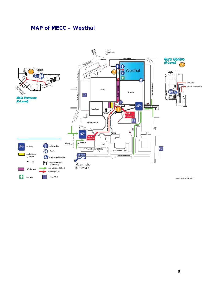## **MAP of MECC – Westhal**

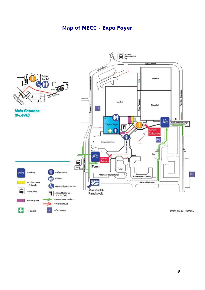## **Map of MECC - Expo Foyer**

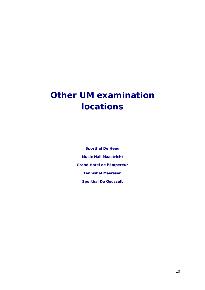## **Other UM examination locations**

**Sporthal De Heeg Music Hall Maastricht Grand Hotel de l'Empereur Tennishal Meerssen Sporthal De Geusselt**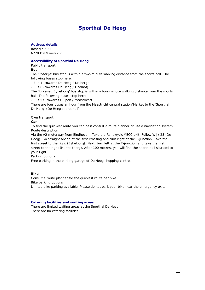## **Sporthal De Heeg**

**Address details**

Roserije 500 6228 DN Maastricht

### **Accessibility of Sporthal De Heeg**

*Public transport*

**Bus**

The 'Roserije' bus stop is within a two-minute walking distance from the sports hall**.** The following buses stop here:

- Bus 1 (towards De Heeg / Malberg)

- Bus 6 (towards De Heeg / Daalhof)

The 'Rijksweg Eykelborg' bus stop is within a four-minute walking distance from the sports hall. The following buses stop here:

- Bus 57 (towards Gulpen / Maastricht)

There are four buses an hour from the Maastricht central station/Market to the '*Sporthal De Heeg*' (De Heeg sports hall).

*Own transport*

**Car**

To find the quickest route you can best consult a route planner or use a navigation system. *Route description*

Via the A2 motorway from Eindhoven: Take the Randwyck/MECC exit. Follow Wijk 28 (De Heeg). Go straight ahead at the first crossing and turn right at the T-junction. Take the first street to the right (Eykelborg). Next, turn left at the T-junction and take the first street to the right (Harsteltborg). After 100 metres, you will find the sports hall situated to your right.

*Parking options*

Free parking in the parking garage of De Heeg shopping centre.

**Bike**

Consult a route planner for the quickest route per bike. *Bike parking options* Limited bike parking available. Please do not park your bike near the emergency exits!

### **Catering facilities and waiting areas**

There are limited waiting areas at the Sporthal De Heeg. There are no catering facilities.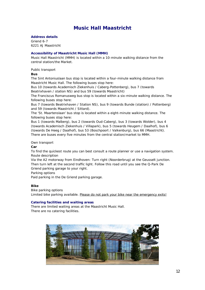## **Music Hall Maastricht**

**Address details** Griend 6-7 6221 AJ Maastricht

### **Accessibility of Maastricht Music Hall (MMH)**

Music Hall Maastricht (MMH) is located within a 10-minute walking distance from the central station/the Market.

### *Public transport*

**Bus**

The Sint Antoniuslaan bus stop is located within a four-minute walking distance from Maastricht Music Hall. The following buses stop here:

Bus 10 (towards Academisch Ziekenhuis / Caberg-Pottenberg), bus 7 (towards Beatrixhaven / station NS) and bus 59 (towards Maastricht)

The Franciscus Romanusweg bus stop is located within a six-minute walking distance. The following buses stop here:

Bus 7 (towards Beatrixhaven / Station NS), bus 9 (towards Bunde (station) / Pottenberg) and 59 (towards Maastricht / Sittard).

The 'St. Maartenslaan' bus stop is located within a eight-minute walking distance. The following buses stop here:

Bus 1 (towards Malberg), bus 2 (towards Oud-Caberg), bus 3 (towards Wolder), bus 4 (towards Academisch Ziekenhuis / Villapark), bus 5 (towards Heugem / Daalhof), bus 6 (towards De Heeg / Daalhof), bus 53 (Boschpoort / Valkenburg), bus 66 (Maastricht). There are buses every five minutes from the central station/market to MMH.

### *Own transport*

**Car**

To find the quickest route you can best consult a route planner or use a navigation system. *Route description*

Via the A2 motorway from Eindhoven: Turn right (Noorderbrug) at the Geusselt junction. Then turn left at the second traffic light. Follow this road until you see the Q-Park De Griend parking garage to your right.

*Parking options*

Paid parking in the De Griend parking garage.

**Bike**

*Bike parking options*

Limited bike parking available. Please do not park your bike near the emergency exits!

### **Catering facilities and waiting areas**

There are limited waiting areas at the Maastricht Music Hall. There are no catering facilities.

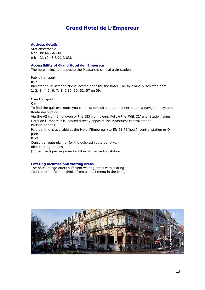## **Grand Hotel de L'Empereur**

### **Address details**

Stationsstraat 2 6221 BP Maastricht tel: +31 (0)43 3 21 3 838

### **Accessibility of Grand Hotel de l'Empereur**

The hotel is located opposite the Maastricht central train station.

*Public transport*

**Bus**

Bus station 'busstation NS' is located opposite the hotel. The following buses stop here: 1, 2, 3, 4, 5, 6, 7, 8, 9,10, 50, 51, 57 en 59.

### *Own transport*

**Car**

To find the quickest route you can best consult a route planner or use a navigation system. *Route description:*

Via the A2 from Eindhoven or the E25 from Liège: Follow the 'Wijk 21' and 'Station' signs. Hotel de l'Empereur is located directly opposite the Maastricht central station. *Parking options:*

Paid parking is available at the Hotel l'Empereur (tariff: €1.75/hour), central station or Qpark.

**Bike**

Consult a route planner for the quickest route per bike. *Bike parking options (*Supervised) parking area for bikes at the central station.

### **Catering facilities and waiting areas**

The hotel lounge offers sufficient waiting areas with seating. You can order food or drinks from a small menu in the lounge.

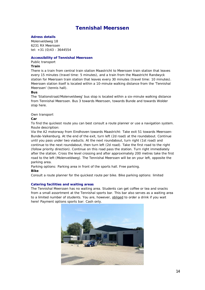## **Tennishal Meerssen**

### **Adress details**

Molenveldweg 18 6231 RX Meerssen tel: +31 (0)43 - 3644554

### **Accessibility of Tennishal Meerssen**

*Public transport*

**Train**

There is a train from central train station Maastricht to Meerssen train station that leaves every 15 minutes (travel time: 5 minutes), and a train from the Maastricht Randwyck station for Meerssen train station that leaves every 30 minutes (travel time: 10 minutes). Meerssen station itself is located within a 10-minute walking distance from the '*Tennishal Meerssen*' (tennis hall).

**Bus**

The 'Stationstraat/Molenveldweg' bus stop is located within a six-minute walking distance from Tennishal Meerssen. Bus 3 towards Meerssen, towards Bunde and towards Wolder stop here.

### *Own transport*

**Car**

To find the quickest route you can best consult a route planner or use a navigation system. *Route description:*

Via the A2 motorway from Eindhoven towards Maastricht: Take exit 51 towards Meerssen-Bunde-Valkenburg. At the end of the exit, turn left (2d road) at the roundabout. Continue until you pass under two viaducts. At the next roundabout, turn right (1st road) and continue to the next roundabout, then turn left (2d road). Take the first road to the right (follow priority direction). Continue on this road pass the station. Turn right immediately after the station. Cross the level crossing and after approximately 200 metres take the first road to the left (Molenveldweg). The Tennishal Meerssen will be on your left, opposite the parking area.

*Parking options:* Parking area in front of the sports hall. Free parking. **Bike**

Consult a route planner for the quickest route per bike. *Bike parking options:* limited

### **Catering facilities and waiting areas**

The Tennishal Meerssen has no waiting area. Students can get coffee or tea and snacks from a small assortment at the Tennishal sports bar. This bar also serves as a waiting area to a limited number of students. You are, however, obliged to order a drink if you wait here! Payment options sports bar: Cash only.